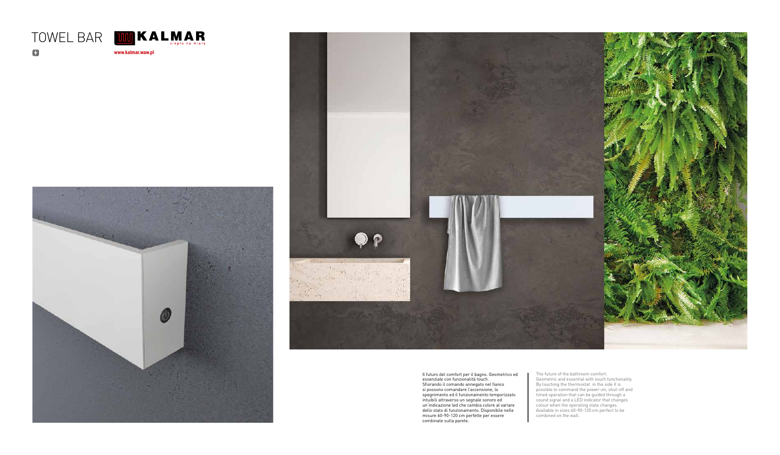Il futuro del comfort per il bagno. Geometrico ed essenziale con funzionalità touch. Sfiorando il comando annegato nel fianco si possono comandare l'accensione, lo spegnimento ed il funzionamento temporizzato intuibili attraverso un segnale sonoro ed un'indicazione led che cambia colore al variare dello stato di funzionamento. Disponibile nelle misure 60-90-120 cm perfette per essere combinate sulla parete.

The future of the bathroom comfort. Geometric and essential with touch functionality. By touching the thermostat in the side it is possible to command the power-on, shut-off and timed operation that can be guided through a sound signal and a LED indicator that changes colour when the operating state changes. Available in sizes 60-90-120 cm perfect to be combined on the wall.



www.kalmar.waw.pl